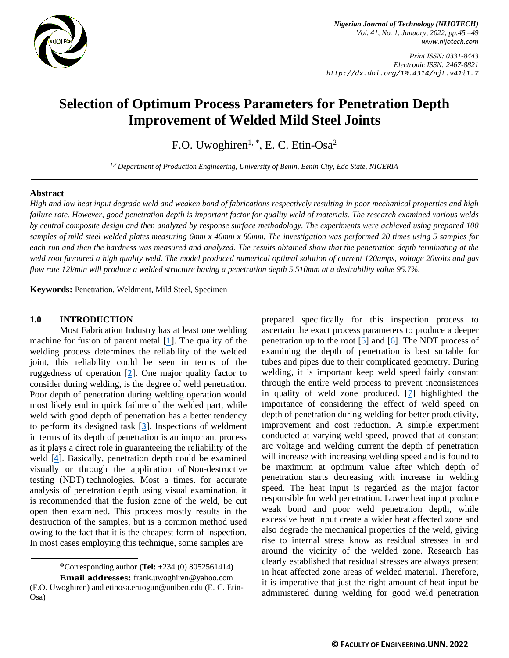

*Nigerian Journal of Technology (NIJOTECH) Vol. 41, No. 1, January, 2022, pp.45 –49 [www.nijotech.com](http://www.nijotech.com/)*

*Print ISSN: 0331-8443 Electronic ISSN: 2467-8821 http://dx.doi.org/10.4314/njt.v41i1.7*

# **Selection of Optimum Process Parameters for Penetration Depth Improvement of Welded Mild Steel Joints**

F.O. Uwoghiren $1,$ <sup>\*</sup>, E. C. Etin-Osa<sup>2</sup>

*1,2 Department of Production Engineering, University of Benin, Benin City, Edo State, NIGERIA*

#### **Abstract**

*High and low heat input degrade weld and weaken bond of fabrications respectively resulting in poor mechanical properties and high failure rate. However, good penetration depth is important factor for quality weld of materials. The research examined various welds by central composite design and then analyzed by response surface methodology. The experiments were achieved using prepared 100 samples of mild steel welded plates measuring 6mm x 40mm x 80mm. The investigation was performed 20 times using 5 samples for each run and then the hardness was measured and analyzed. The results obtained show that the penetration depth terminating at the weld root favoured a high quality weld. The model produced numerical optimal solution of current 120amps, voltage 20volts and gas flow rate 12l/min will produce a welded structure having a penetration depth 5.510mm at a desirability value 95.7%.*

**Keywords:** Penetration, Weldment, Mild Steel, Specimen

#### **1.0 INTRODUCTION**

Most Fabrication Industry has at least one welding machine for fusion of parent metal  $[1]$  $[1]$  $[1]$ . The quality of the welding process determines the reliability of the welded joint, this reliability could be seen in terms of the ruggedness of operation [[2](#page-5-0)]. One major quality factor to consider during welding, is the degree of weld penetration. Poor depth of penetration during welding operation would most likely end in quick failure of the welded part, while weld with good depth of penetration has a better tendency to perform its designed task [[3](#page-5-1)]. Inspections of weldment in terms of its depth of penetration is an important process as it plays a direct role in guaranteeing the reliability of the weld [[4](#page-5-2)]. Basically, penetration depth could be examined visually or through the application of [Non-destructive](https://www.zetec.com/resources/nondestructive-testing-overview/) testing [\(NDT\)](https://www.zetec.com/resources/nondestructive-testing-overview/) technologies. Most a times, for accurate analysis of penetration depth using visual examination, it is recommended that the fusion zone of the weld, be cut open then examined. This process mostly results in the destruction of the samples, but is a common method used owing to the fact that it is the cheapest form of inspection. In most cases employing this technique, some samples are

**\***Corresponding author **[\(Te](mailto:samnnaemeka.ugwu@unn.edu.ng)l:** +234 (0) 8052561414**) Email addresses:** frank.uwoghiren@yahoo.com (F.O. Uwoghiren) and etinosa.eruogun@uniben.edu (E. C. Etin-Osa)

prepared specifically for this inspection process to ascertain the exact process parameters to produce a deeper penetration up to the root  $[5]$  and  $[6]$ . The NDT process of examining the depth of penetration is best suitable for tubes and pipes due to their complicated geometry. During welding, it is important keep weld speed fairly constant through the entire weld process to prevent inconsistences in quality of weld zone produced. [\[7\]](#page-5-5) highlighted the importance of considering the effect of weld speed on depth of penetration during welding for better productivity, improvement and cost reduction. A simple experiment conducted at varying weld speed, proved that at constant arc voltage and welding current the depth of penetration will increase with increasing welding speed and is found to be maximum at optimum value after which depth of penetration starts decreasing with increase in welding speed. The heat input is regarded as the major factor responsible for weld penetration. Lower heat input produce weak bond and poor weld penetration depth, while excessive heat input create a wider heat affected zone and also degrade the mechanical properties of the weld, giving rise to internal stress know as residual stresses in and around the vicinity of the welded zone. Research has clearly established that residual stresses are always present in heat affected zone areas of welded material. Therefore, it is imperative that just the right amount of heat input be administered during welding for good weld penetration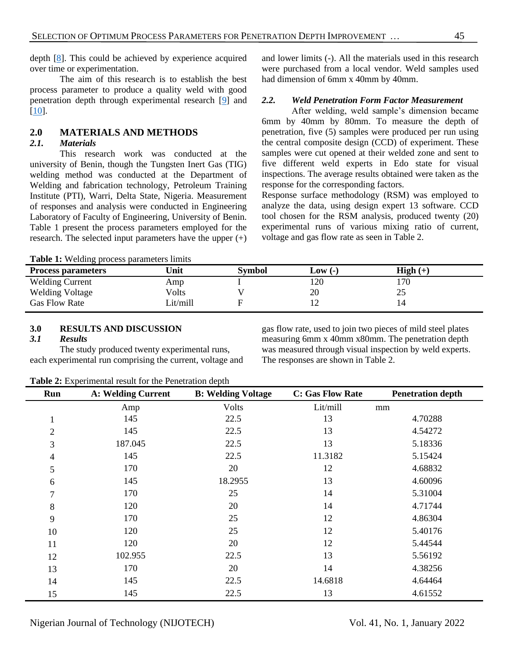depth [\[8\]](#page-5-6). This could be achieved by experience acquired over time or experimentation.

The aim of this research is to establish the best process parameter to produce a quality weld with good penetration depth through experimental research [\[9\]](#page-5-7) and [\[10\]](#page-5-8).

## **2.0 MATERIALS AND METHODS**

### *2.1. Materials*

This research work was conducted at the university of Benin, though the Tungsten Inert Gas (TIG) welding method was conducted at the Department of Welding and fabrication technology, Petroleum Training Institute (PTI), Warri, Delta State, Nigeria. Measurement of responses and analysis were conducted in Engineering Laboratory of Faculty of Engineering, University of Benin. Table 1 present the process parameters employed for the research. The selected input parameters have the upper (+)

and lower limits (-). All the materials used in this research were purchased from a local vendor. Weld samples used had dimension of 6mm x 40mm by 40mm.

## *2.2. Weld Penetration Form Factor Measurement*

After welding, weld sample's dimension became 6mm by 40mm by 80mm. To measure the depth of penetration, five (5) samples were produced per run using the central composite design (CCD) of experiment. These samples were cut opened at their welded zone and sent to five different weld experts in Edo state for visual inspections. The average results obtained were taken as the response for the corresponding factors.

Response surface methodology (RSM) was employed to analyze the data, using design expert 13 software. CCD tool chosen for the RSM analysis, produced twenty (20) experimental runs of various mixing ratio of current, voltage and gas flow rate as seen in Table 2.

**Table 1:** Welding process parameters limits

| $\sim$<br><b>Process parameters</b> | Unit     | <b>Symbol</b> | $Low(-)$ | $\mathbf{High}(+)$ |
|-------------------------------------|----------|---------------|----------|--------------------|
| <b>Welding Current</b>              | Amp      |               | 120      | 170                |
| <b>Welding Voltage</b>              | Volts    |               | 20       | つく<br>رے           |
| <b>Gas Flow Rate</b>                | Lit/mill |               |          |                    |

#### **3.0 RESULTS AND DISCUSSION**

## *3.1 Results*

The study produced twenty experimental runs, each experimental run comprising the current, voltage and gas flow rate, used to join two pieces of mild steel plates measuring 6mm x 40mm x80mm. The penetration depth was measured through visual inspection by weld experts. The responses are shown in Table 2.

| <b>Table 2:</b> Experimental result for the Penetration depth |  |  |  |
|---------------------------------------------------------------|--|--|--|
|                                                               |  |  |  |

| Run            | <b>A: Welding Current</b> | <b>B: Welding Voltage</b> | <b>C: Gas Flow Rate</b> | <b>Penetration depth</b> |
|----------------|---------------------------|---------------------------|-------------------------|--------------------------|
|                | Amp                       | Volts                     | Lit/mill                | mm                       |
| 1              | 145                       | 22.5                      | 13                      | 4.70288                  |
| $\overline{2}$ | 145                       | 22.5                      | 13                      | 4.54272                  |
| 3              | 187.045                   | 22.5                      | 13                      | 5.18336                  |
| 4              | 145                       | 22.5                      | 11.3182                 | 5.15424                  |
| 5              | 170                       | 20                        | 12                      | 4.68832                  |
| 6              | 145                       | 18.2955                   | 13                      | 4.60096                  |
| 7              | 170                       | 25                        | 14                      | 5.31004                  |
| 8              | 120                       | 20                        | 14                      | 4.71744                  |
| 9              | 170                       | 25                        | 12                      | 4.86304                  |
| 10             | 120                       | 25                        | 12                      | 5.40176                  |
| 11             | 120                       | 20                        | 12                      | 5.44544                  |
| 12             | 102.955                   | 22.5                      | 13                      | 5.56192                  |
| 13             | 170                       | 20                        | 14                      | 4.38256                  |
| 14             | 145                       | 22.5                      | 14.6818                 | 4.64464                  |
| 15             | 145                       | 22.5                      | 13                      | 4.61552                  |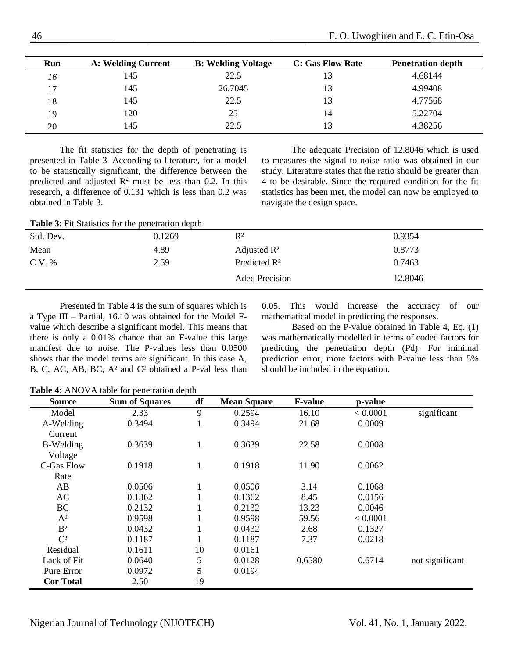| Run | <b>A: Welding Current</b> | <b>B: Welding Voltage</b> | <b>C: Gas Flow Rate</b> | <b>Penetration depth</b> |
|-----|---------------------------|---------------------------|-------------------------|--------------------------|
| 16  | 145                       | 22.5                      |                         | 4.68144                  |
| 17  | 145                       | 26.7045                   | 13                      | 4.99408                  |
| 18  | 145                       | 22.5                      | 13                      | 4.77568                  |
| 19  | 120                       | 25                        | 14                      | 5.22704                  |
| 20  | 145                       | 22.5                      |                         | 4.38256                  |

The fit statistics for the depth of penetrating is presented in Table 3. According to literature, for a model to be statistically significant, the difference between the predicted and adjusted  $\mathbb{R}^2$  must be less than 0.2. In this research, a difference of 0.131 which is less than 0.2 was obtained in Table 3.

The adequate Precision of 12.8046 which is used to measures the signal to noise ratio was obtained in our study. Literature states that the ratio should be greater than 4 to be desirable. Since the required condition for the fit statistics has been met, the model can now be employed to navigate the design space.

| <b>Table 3:</b> Fit Statistics for the penetration depth |        |                          |         |  |  |
|----------------------------------------------------------|--------|--------------------------|---------|--|--|
| Std. Dev.                                                | 0.1269 | $R^2$                    | 0.9354  |  |  |
| Mean                                                     | 4.89   | Adjusted $\mathbb{R}^2$  | 0.8773  |  |  |
| C.V. %<br>2.59                                           |        | Predicted R <sup>2</sup> | 0.7463  |  |  |
|                                                          |        | Adeq Precision           | 12.8046 |  |  |

Presented in Table 4 is the sum of squares which is a Type III – Partial, 16.10 was obtained for the Model Fvalue which describe a significant model. This means that there is only a 0.01% chance that an F-value this large manifest due to noise. The P-values less than 0.0500 shows that the model terms are significant. In this case A, B, C, AC, AB, BC, A² and C² obtained a P-val less than 0.05. This would increase the accuracy of our mathematical model in predicting the responses.

Based on the P-value obtained in Table 4, Eq. (1) was mathematically modelled in terms of coded factors for predicting the penetration depth (Pd). For minimal prediction error, more factors with P-value less than 5% should be included in the equation.

**Table 4:** ANOVA table for penetration depth

| <b>Source</b>    | <b>Sum of Squares</b> | df           | <b>Mean Square</b> | <b>F-value</b> | p-value  |                 |
|------------------|-----------------------|--------------|--------------------|----------------|----------|-----------------|
| Model            | 2.33                  | 9            | 0.2594             | 16.10          | < 0.0001 | significant     |
| A-Welding        | 0.3494                | 1            | 0.3494             | 21.68          | 0.0009   |                 |
| Current          |                       |              |                    |                |          |                 |
| B-Welding        | 0.3639                | 1            | 0.3639             | 22.58          | 0.0008   |                 |
| Voltage          |                       |              |                    |                |          |                 |
| C-Gas Flow       | 0.1918                | 1            | 0.1918             | 11.90          | 0.0062   |                 |
| Rate             |                       |              |                    |                |          |                 |
| AB               | 0.0506                | $\mathbf{1}$ | 0.0506             | 3.14           | 0.1068   |                 |
| AC               | 0.1362                |              | 0.1362             | 8.45           | 0.0156   |                 |
| <b>BC</b>        | 0.2132                |              | 0.2132             | 13.23          | 0.0046   |                 |
| $A^2$            | 0.9598                |              | 0.9598             | 59.56          | < 0.0001 |                 |
| B <sup>2</sup>   | 0.0432                |              | 0.0432             | 2.68           | 0.1327   |                 |
| $\mathbb{C}^2$   | 0.1187                |              | 0.1187             | 7.37           | 0.0218   |                 |
| Residual         | 0.1611                | 10           | 0.0161             |                |          |                 |
| Lack of Fit      | 0.0640                | 5            | 0.0128             | 0.6580         | 0.6714   | not significant |
| Pure Error       | 0.0972                | 5            | 0.0194             |                |          |                 |
| <b>Cor Total</b> | 2.50                  | 19           |                    |                |          |                 |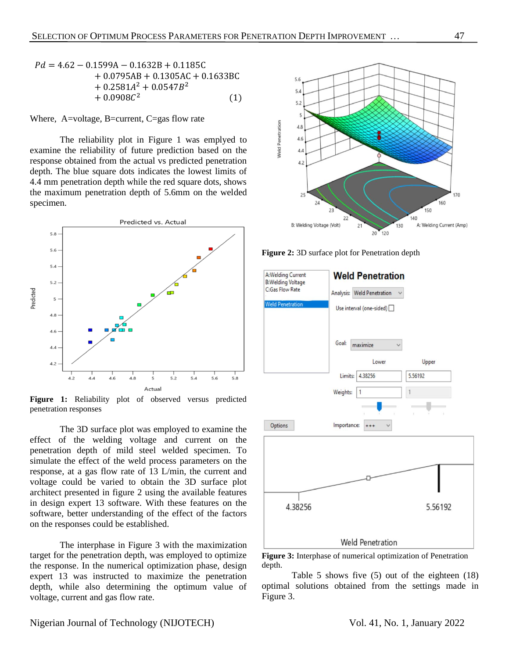$$
Pd = 4.62 - 0.1599A - 0.1632B + 0.1185C
$$
  
+ 0.0795AB + 0.1305AC + 0.1633BC  
+ 0.2581A<sup>2</sup> + 0.0547B<sup>2</sup>  
+ 0.0908C<sup>2</sup> (1)

Where, A=voltage, B=current, C=gas flow rate

The reliability plot in Figure 1 was emplyed to examine the reliability of future prediction based on the response obtained from the actual vs predicted penetration depth. The blue square dots indicates the lowest limits of 4.4 mm penetration depth while the red square dots, shows the maximum penetration depth of 5.6mm on the welded specimen.



**Figure 1:** Reliability plot of observed versus predicted penetration responses

The 3D surface plot was employed to examine the effect of the welding voltage and current on the penetration depth of mild steel welded specimen. To simulate the effect of the weld process parameters on the response, at a gas flow rate of 13 L/min, the current and voltage could be varied to obtain the 3D surface plot architect presented in figure 2 using the available features in design expert 13 software. With these features on the software, better understanding of the effect of the factors on the responses could be established.

The interphase in Figure 3 with the maximization target for the penetration depth, was employed to optimize the response. In the numerical optimization phase, design expert 13 was instructed to maximize the penetration depth, while also determining the optimum value of voltage, current and gas flow rate.



**Figure 2:** 3D surface plot for Penetration depth



**Figure 3:** Interphase of numerical optimization of Penetration depth.

Table 5 shows five (5) out of the eighteen (18) optimal solutions obtained from the settings made in Figure 3.

#### Nigerian Journal of Technology (NIJOTECH) Vol. 41, No. 1, January 2022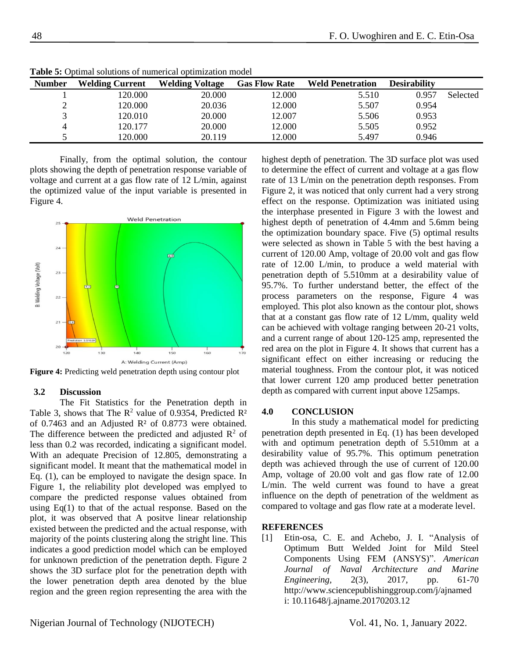| <b>Number</b> | <b>Welding Current</b> | <b>Welding Voltage</b> | <b>Gas Flow Rate</b> | <b>Weld Penetration</b> | <b>Desirability</b> |          |
|---------------|------------------------|------------------------|----------------------|-------------------------|---------------------|----------|
|               | 120.000                | 20.000                 | 12.000               | 5.510                   | 0.957               | Selected |
|               | 120.000                | 20.036                 | 12.000               | 5.507                   | 0.954               |          |
|               | 120.010                | 20.000                 | 12.007               | 5.506                   | 0.953               |          |
|               | 120.177                | 20.000                 | 12.000               | 5.505                   | 0.952               |          |
|               | 120.000                | 20.119                 | 12.000               | 5.497                   | 0.946               |          |

**Table 5:** Optimal solutions of numerical optimization model

Finally, from the optimal solution, the contour plots showing the depth of penetration response variable of voltage and current at a gas flow rate of 12 L/min, against the optimized value of the input variable is presented in Figure 4.



**Figure 4:** Predicting weld penetration depth using contour plot

#### **3.2 Discussion**

The Fit Statistics for the Penetration depth in Table 3, shows that The  $R^2$  value of 0.9354, Predicted  $R^2$ of 0.7463 and an Adjusted R² of 0.8773 were obtained. The difference between the predicted and adjusted  $\mathbb{R}^2$  of less than 0.2 was recorded, indicating a significant model. With an adequate Precision of 12.805, demonstrating a significant model. It meant that the mathematical model in Eq. (1), can be employed to navigate the design space. In Figure 1, the reliability plot developed was emplyed to compare the predicted response values obtained from using  $Eq(1)$  to that of the actual response. Based on the plot, it was observed that A positve linear relationship existed between the predicted and the actual response, with majority of the points clustering along the stright line. This indicates a good prediction model which can be employed for unknown prediction of the penetration depth. Figure 2 shows the 3D surface plot for the penetration depth with the lower penetration depth area denoted by the blue region and the green region representing the area with the

highest depth of penetration. The 3D surface plot was used to determine the effect of current and voltage at a gas flow rate of 13 L/min on the penetration depth responses. From Figure 2, it was noticed that only current had a very strong effect on the response. Optimization was initiated using the interphase presented in Figure 3 with the lowest and highest depth of penetration of 4.4mm and 5.6mm being the optimization boundary space. Five (5) optimal results were selected as shown in Table 5 with the best having a current of 120.00 Amp, voltage of 20.00 volt and gas flow rate of 12.00 L/min, to produce a weld material with penetration depth of 5.510mm at a desirability value of 95.7%. To further understand better, the effect of the process parameters on the response, Figure 4 was employed. This plot also known as the contour plot, shows that at a constant gas flow rate of 12 L/mm, quality weld can be achieved with voltage ranging between 20-21 volts, and a current range of about 120-125 amp, represented the red area on the plot in Figure 4. It shows that current has a significant effect on either increasing or reducing the material toughness. From the contour plot, it was noticed that lower current 120 amp produced better penetration depth as compared with current input above 125amps.

#### **4.0 CONCLUSION**

In this study a mathematical model for predicting penetration depth presented in Eq. (1) has been developed with and optimum penetration depth of 5.510mm at a desirability value of 95.7%. This optimum penetration depth was achieved through the use of current of 120.00 Amp, voltage of 20.00 volt and gas flow rate of 12.00 L/min. The weld current was found to have a great influence on the depth of penetration of the weldment as compared to voltage and gas flow rate at a moderate level.

#### **REFERENCES**

<span id="page-4-0"></span>[1] Etin-osa, C. E. and Achebo, J. I. "Analysis of Optimum Butt Welded Joint for Mild Steel Components Using FEM (ANSYS)". *American Journal of Naval Architecture and Marine Engineering,* 2(3), 2017, pp. 61-70 [http://www.sciencepublishinggroup.com/j/ajnamed](http://www.sciencepublishinggroup.com/j/ajname) i: 10.11648/j.ajname.20170203.12